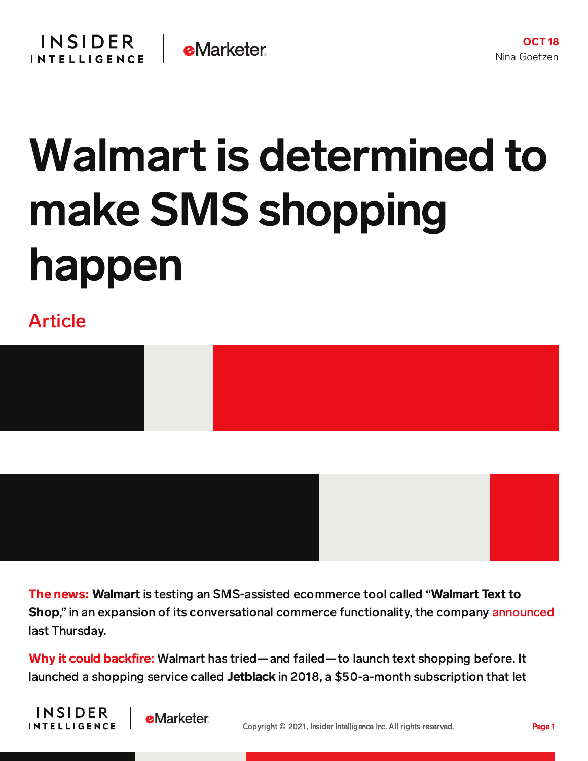## Walmart is determined to make SMS shopping happen

## Article



The news: Walmart is testing an SMS-assisted ecommerce tool called "Walmart Text to Shop," in an expansion of its conversational commerce functionality, the company [announced](https://corporate.walmart.com/newsroom/2021/10/14/the-future-is-conversational-how-voice-and-text-are-transforming-shopping) last Thursday.

Why it could backfire: Walmart has tried—and failed—to launch text shopping before. It launched a shopping service called Jetblack in 2018, a \$50-a-month subscription that let



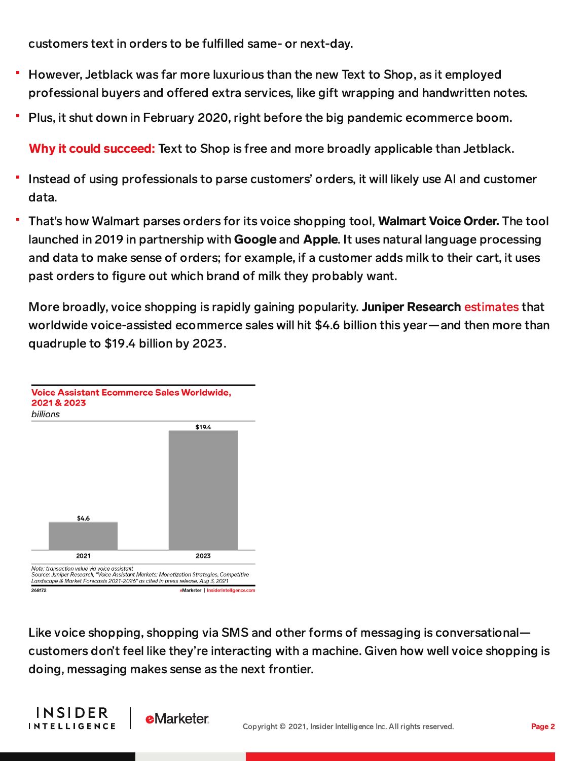customers text in orders to be fulfilled same- or next-day.

- However, Jetblack was far more luxurious than the new Text to Shop, as it employed professional buyers and offered extra services, like gift wrapping and handwritten notes.
- Plus, it shut down in February 2020, right before the big pandemic ecommerce boom.

Why it could succeed: Text to Shop is free and more broadly applicable than Jetblack.

- Instead of using professionals to parse customers' orders, it will likely use AI and customer data.
- That's how Walmart parses orders for its voice shopping tool, Walmart Voice Order. The tool launched in 2019 in partnership with Google and Apple. It uses natural language processing and data to make sense of orders; for example, if a customer adds milk to their cart, it uses past orders to figure out which brand of milk they probably want.

More broadly, voice shopping is rapidly gaining popularity. Juniper Research [estimates](https://chart-na1.emarketer.com/249246/voice-assistant-ecommerce-sales-worldwide-2021-2023-billions) that worldwide voice-assisted ecommerce sales will hit \$4.6 billion this year—and then more than quadruple to \$19.4 billion by 2023.



Like voice shopping, shopping via SMS and other forms of messaging is conversational customers don't feel like they're interacting with a machine. Given how well voice shopping is doing, messaging makes sense as the next frontier.